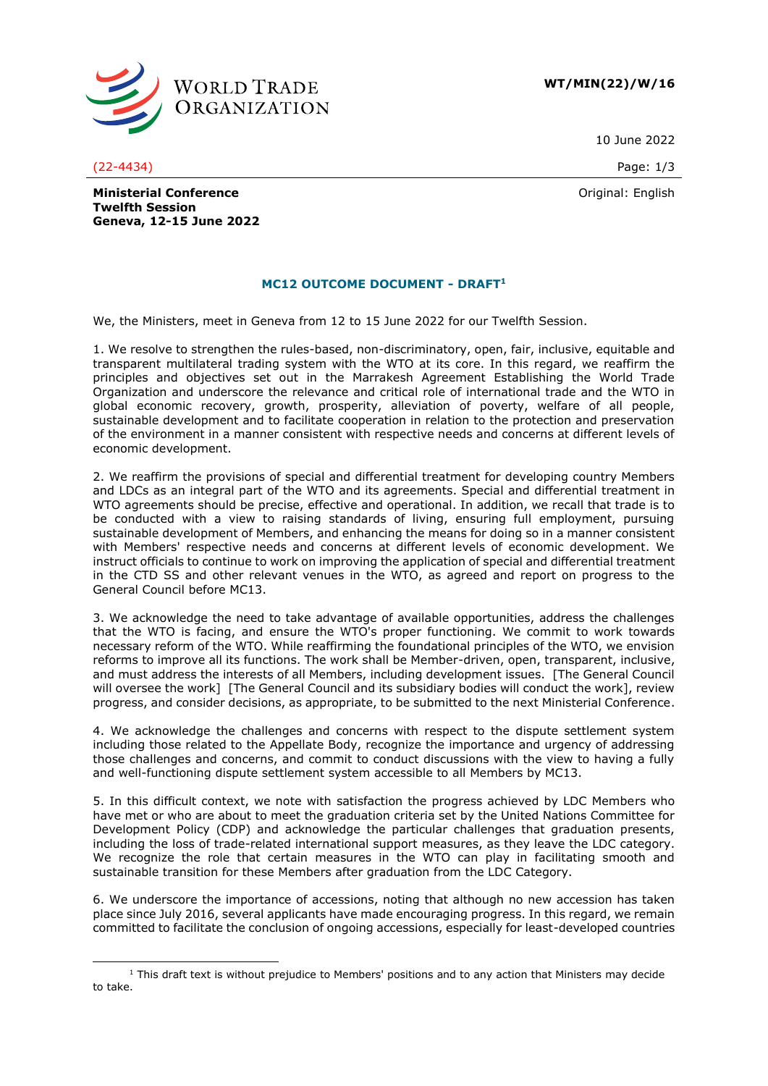

**WT/MIN(22)/W/16**

10 June 2022

(22-4434) Page: 1/3

Original: English

**Ministerial Conference Twelfth Session Geneva, 12-15 June 2022**

## **MC12 OUTCOME DOCUMENT - DRAFT<sup>1</sup>**

We, the Ministers, meet in Geneva from 12 to 15 June 2022 for our Twelfth Session.

1. We resolve to strengthen the rules-based, non-discriminatory, open, fair, inclusive, equitable and transparent multilateral trading system with the WTO at its core. In this regard, we reaffirm the principles and objectives set out in the Marrakesh Agreement Establishing the World Trade Organization and underscore the relevance and critical role of international trade and the WTO in global economic recovery, growth, prosperity, alleviation of poverty, welfare of all people, sustainable development and to facilitate cooperation in relation to the protection and preservation of the environment in a manner consistent with respective needs and concerns at different levels of economic development.

2. We reaffirm the provisions of special and differential treatment for developing country Members and LDCs as an integral part of the WTO and its agreements. Special and differential treatment in WTO agreements should be precise, effective and operational. In addition, we recall that trade is to be conducted with a view to raising standards of living, ensuring full employment, pursuing sustainable development of Members, and enhancing the means for doing so in a manner consistent with Members' respective needs and concerns at different levels of economic development. We instruct officials to continue to work on improving the application of special and differential treatment in the CTD SS and other relevant venues in the WTO, as agreed and report on progress to the General Council before MC13.

3. We acknowledge the need to take advantage of available opportunities, address the challenges that the WTO is facing, and ensure the WTO's proper functioning. We commit to work towards necessary reform of the WTO. While reaffirming the foundational principles of the WTO, we envision reforms to improve all its functions. The work shall be Member-driven, open, transparent, inclusive, and must address the interests of all Members, including development issues. [The General Council will oversee the work] [The General Council and its subsidiary bodies will conduct the work], review progress, and consider decisions, as appropriate, to be submitted to the next Ministerial Conference.

4. We acknowledge the challenges and concerns with respect to the dispute settlement system including those related to the Appellate Body, recognize the importance and urgency of addressing those challenges and concerns, and commit to conduct discussions with the view to having a fully and well-functioning dispute settlement system accessible to all Members by MC13.

5. In this difficult context, we note with satisfaction the progress achieved by LDC Members who have met or who are about to meet the graduation criteria set by the United Nations Committee for Development Policy (CDP) and acknowledge the particular challenges that graduation presents, including the loss of trade-related international support measures, as they leave the LDC category. We recognize the role that certain measures in the WTO can play in facilitating smooth and sustainable transition for these Members after graduation from the LDC Category.

6. We underscore the importance of accessions, noting that although no new accession has taken place since July 2016, several applicants have made encouraging progress. In this regard, we remain committed to facilitate the conclusion of ongoing accessions, especially for least-developed countries

 $1$  This draft text is without prejudice to Members' positions and to any action that Ministers may decide to take.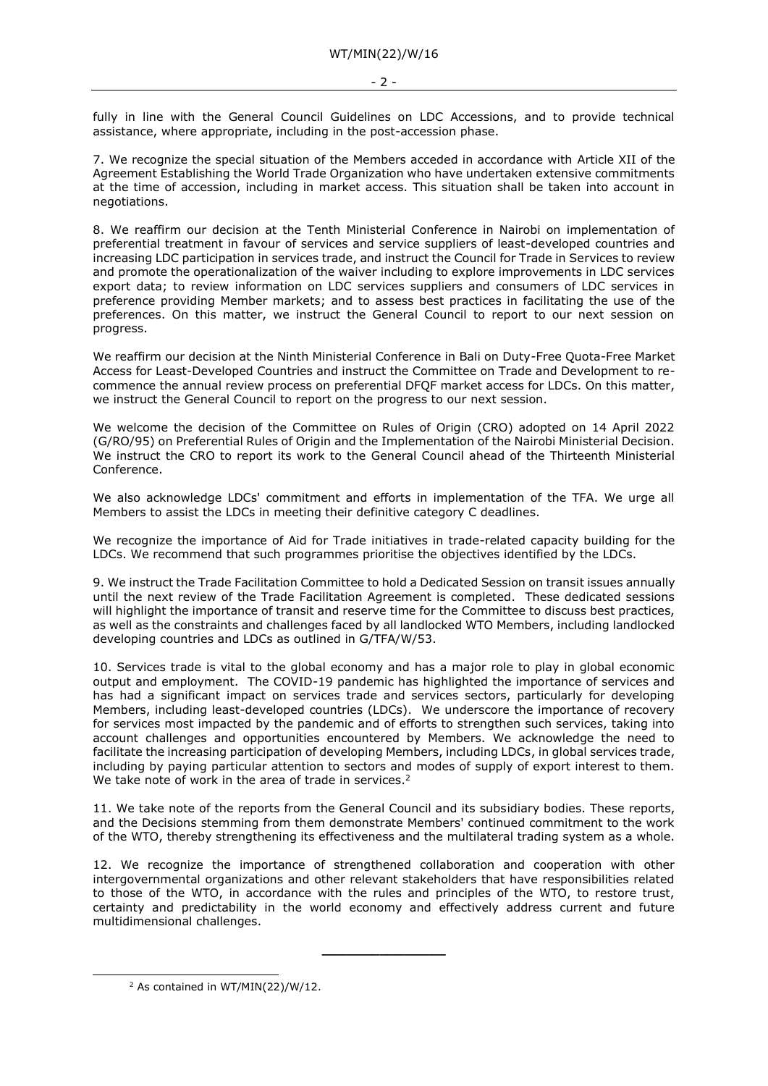fully in line with the General Council Guidelines on LDC Accessions, and to provide technical assistance, where appropriate, including in the post-accession phase.

7. We recognize the special situation of the Members acceded in accordance with Article XII of the Agreement Establishing the World Trade Organization who have undertaken extensive commitments at the time of accession, including in market access. This situation shall be taken into account in negotiations.

8. We reaffirm our decision at the Tenth Ministerial Conference in Nairobi on implementation of preferential treatment in favour of services and service suppliers of least-developed countries and increasing LDC participation in services trade, and instruct the Council for Trade in Services to review and promote the operationalization of the waiver including to explore improvements in LDC services export data; to review information on LDC services suppliers and consumers of LDC services in preference providing Member markets; and to assess best practices in facilitating the use of the preferences. On this matter, we instruct the General Council to report to our next session on progress.

We reaffirm our decision at the Ninth Ministerial Conference in Bali on Duty-Free Quota-Free Market Access for Least-Developed Countries and instruct the Committee on Trade and Development to recommence the annual review process on preferential DFQF market access for LDCs. On this matter, we instruct the General Council to report on the progress to our next session.

We welcome the decision of the Committee on Rules of Origin (CRO) adopted on 14 April 2022 (G/RO/95) on Preferential Rules of Origin and the Implementation of the Nairobi Ministerial Decision. We instruct the CRO to report its work to the General Council ahead of the Thirteenth Ministerial Conference.

We also acknowledge LDCs' commitment and efforts in implementation of the TFA. We urge all Members to assist the LDCs in meeting their definitive category C deadlines.

We recognize the importance of Aid for Trade initiatives in trade-related capacity building for the LDCs. We recommend that such programmes prioritise the objectives identified by the LDCs.

9. We instruct the Trade Facilitation Committee to hold a Dedicated Session on transit issues annually until the next review of the Trade Facilitation Agreement is completed. These dedicated sessions will highlight the importance of transit and reserve time for the Committee to discuss best practices, as well as the constraints and challenges faced by all landlocked WTO Members, including landlocked developing countries and LDCs as outlined in G/TFA/W/53.

10. Services trade is vital to the global economy and has a major role to play in global economic output and employment. The COVID-19 pandemic has highlighted the importance of services and has had a significant impact on services trade and services sectors, particularly for developing Members, including least-developed countries (LDCs). We underscore the importance of recovery for services most impacted by the pandemic and of efforts to strengthen such services, taking into account challenges and opportunities encountered by Members. We acknowledge the need to facilitate the increasing participation of developing Members, including LDCs, in global services trade, including by paying particular attention to sectors and modes of supply of export interest to them. We take note of work in the area of trade in services.<sup>2</sup>

11. We take note of the reports from the General Council and its subsidiary bodies. These reports, and the Decisions stemming from them demonstrate Members' continued commitment to the work of the WTO, thereby strengthening its effectiveness and the multilateral trading system as a whole.

12. We recognize the importance of strengthened collaboration and cooperation with other intergovernmental organizations and other relevant stakeholders that have responsibilities related to those of the WTO, in accordance with the rules and principles of the WTO, to restore trust, certainty and predictability in the world economy and effectively address current and future multidimensional challenges.

**\_\_\_\_\_\_\_\_\_\_\_\_\_\_\_**

<sup>2</sup> As contained in WT/MIN(22)/W/12.